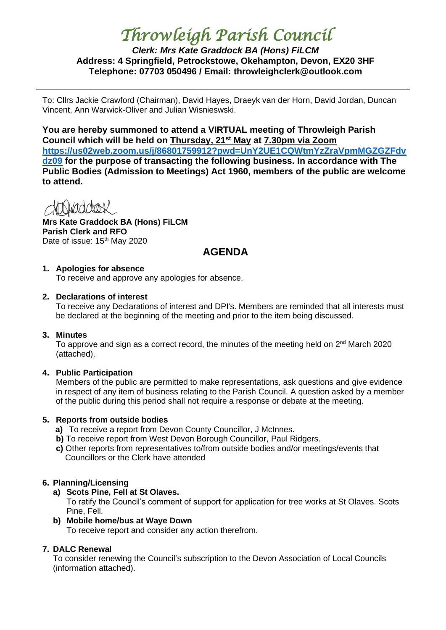# *Throwleigh Parish Council*

# *Clerk: Mrs Kate Graddock BA (Hons) FiLCM* **Address: 4 Springfield, Petrockstowe, Okehampton, Devon, EX20 3HF Telephone: 07703 050496 / Email: throwleighclerk@outlook.com**

To: Cllrs Jackie Crawford (Chairman), David Hayes, Draeyk van der Horn, David Jordan, Duncan Vincent, Ann Warwick-Oliver and Julian Wisnieswski.

**You are hereby summoned to attend a VIRTUAL meeting of Throwleigh Parish Council which will be held on Thursday, 21st May at 7.30pm via Zoom [https://us02web.zoom.us/j/86801759912?pwd=UnY2UE1CQWtmYzZraVpmMGZGZFdv](https://us02web.zoom.us/j/86801759912?pwd=UnY2UE1CQWtmYzZraVpmMGZGZFdvdz09) [dz09](https://us02web.zoom.us/j/86801759912?pwd=UnY2UE1CQWtmYzZraVpmMGZGZFdvdz09) for the purpose of transacting the following business. In accordance with The Public Bodies (Admission to Meetings) Act 1960, members of the public are welcome to attend.** 

MTNiaddook

**Mrs Kate Graddock BA (Hons) FiLCM Parish Clerk and RFO** Date of issue: 15<sup>th</sup> May 2020

# **AGENDA**

## **1. Apologies for absence**

To receive and approve any apologies for absence.

## **2. Declarations of interest**

To receive any Declarations of interest and DPI's. Members are reminded that all interests must be declared at the beginning of the meeting and prior to the item being discussed.

#### **3. Minutes**

To approve and sign as a correct record, the minutes of the meeting held on 2<sup>nd</sup> March 2020 (attached).

# **4. Public Participation**

Members of the public are permitted to make representations, ask questions and give evidence in respect of any item of business relating to the Parish Council. A question asked by a member of the public during this period shall not require a response or debate at the meeting.

# **5. Reports from outside bodies**

- **a)** To receive a report from Devon County Councillor, J McInnes.
- **b)** To receive report from West Devon Borough Councillor, Paul Ridgers.
- **c)** Other reports from representatives to/from outside bodies and/or meetings/events that Councillors or the Clerk have attended

#### **6. Planning/Licensing**

#### **a) Scots Pine, Fell at St Olaves.**

To ratify the Council's comment of support for application for tree works at St Olaves. Scots Pine, Fell.

**b) Mobile home/bus at Waye Down**

To receive report and consider any action therefrom.

# **7. DALC Renewal**

To consider renewing the Council's subscription to the Devon Association of Local Councils (information attached).